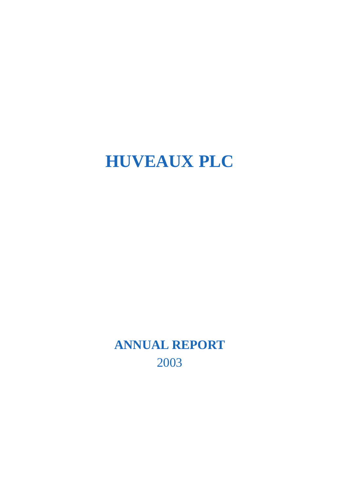# **HUVEAUX PLC**

**ANNUAL REPORT** 2003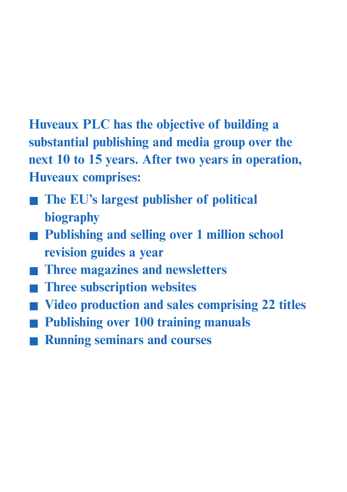**Huveaux PLC has the objective of building a substantial publishing and media group over the next 10 to 15 years. After two years in operation, Huveaux comprises:**

- **The EU's largest publisher of political biography**
- Publishing and selling over 1 million school **revision guides a year**
- **Three magazines and newsletters**
- **Three subscription websites**
- **Video production and sales comprising 22 titles**
- **Publishing over 100 training manuals**
- **Running seminars and courses**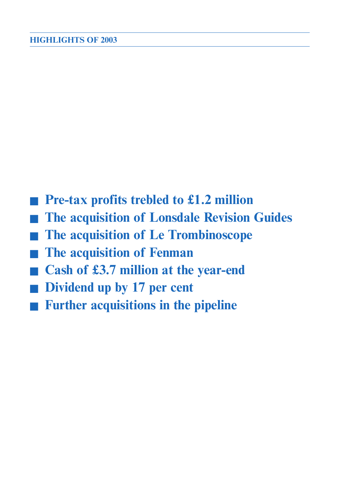- **Pre-tax profits trebled to £1.2 million**
- **The acquisition of Lonsdale Revision Guides**
- **The acquisition of Le Trombinoscope**
- **The acquisition of Fenman**
- **Cash of £3.7 million at the year-end**
- **Dividend up by 17 per cent**
- **Further acquisitions in the pipeline**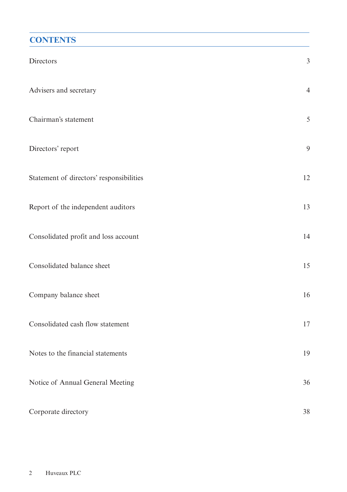### **CONTENTS**

| Directors                                | $\mathfrak{Z}$ |
|------------------------------------------|----------------|
| Advisers and secretary                   | $\overline{4}$ |
| Chairman's statement                     | 5              |
| Directors' report                        | 9              |
| Statement of directors' responsibilities | 12             |
| Report of the independent auditors       | 13             |
| Consolidated profit and loss account     | 14             |
| Consolidated balance sheet               | 15             |
| Company balance sheet                    | 16             |
| Consolidated cash flow statement         | 17             |
| Notes to the financial statements        | 19             |
| Notice of Annual General Meeting         | 36             |
| Corporate directory                      | 38             |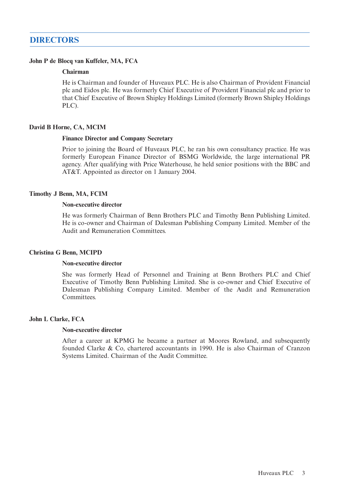### **DIRECTORS**

#### **John P de Blocq van Kuffeler, MA, FCA**

#### **Chairman**

He is Chairman and founder of Huveaux PLC. He is also Chairman of Provident Financial plc and Eidos plc. He was formerly Chief Executive of Provident Financial plc and prior to that Chief Executive of Brown Shipley Holdings Limited (formerly Brown Shipley Holdings PLC).

#### **David B Horne, CA, MCIM**

#### **Finance Director and Company Secretary**

Prior to joining the Board of Huveaux PLC, he ran his own consultancy practice. He was formerly European Finance Director of BSMG Worldwide, the large international PR agency. After qualifying with Price Waterhouse, he held senior positions with the BBC and AT&T. Appointed as director on 1 January 2004.

#### **Timothy J Benn, MA, FCIM**

#### **Non-executive director**

He was formerly Chairman of Benn Brothers PLC and Timothy Benn Publishing Limited. He is co-owner and Chairman of Dalesman Publishing Company Limited. Member of the Audit and Remuneration Committees.

#### **Christina G Benn, MCIPD**

#### **Non-executive director**

She was formerly Head of Personnel and Training at Benn Brothers PLC and Chief Executive of Timothy Benn Publishing Limited. She is co-owner and Chief Executive of Dalesman Publishing Company Limited. Member of the Audit and Remuneration Committees.

#### **John L Clarke, FCA**

#### **Non-executive director**

After a career at KPMG he became a partner at Moores Rowland, and subsequently founded Clarke & Co, chartered accountants in 1990. He is also Chairman of Cranzon Systems Limited. Chairman of the Audit Committee.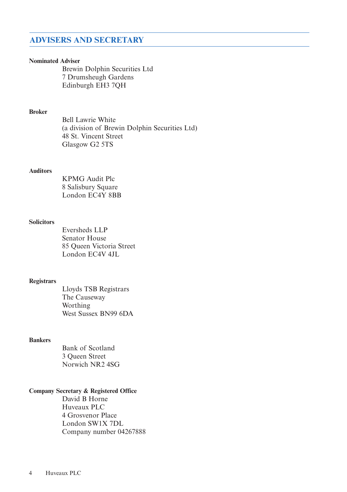### **ADVISERS AND SECRETARY**

#### **Nominated Adviser**

Brewin Dolphin Securities Ltd 7 Drumsheugh Gardens Edinburgh EH3 7QH

#### **Broker**

Bell Lawrie White (a division of Brewin Dolphin Securities Ltd) 48 St. Vincent Street Glasgow G2 5TS

#### **Auditors**

KPMG Audit Plc 8 Salisbury Square London EC4Y 8BB

#### **Solicitors**

Eversheds LLP Senator House 85 Queen Victoria Street London EC4V 4JL

#### **Registrars**

Lloyds TSB Registrars The Causeway Worthing West Sussex BN99 6DA

#### **Bankers**

Bank of Scotland 3 Queen Street Norwich NR2 4SG

#### **Company Secretary & Registered Office**

David B Horne Huveaux PLC 4 Grosvenor Place London SW1X 7DL Company number 04267888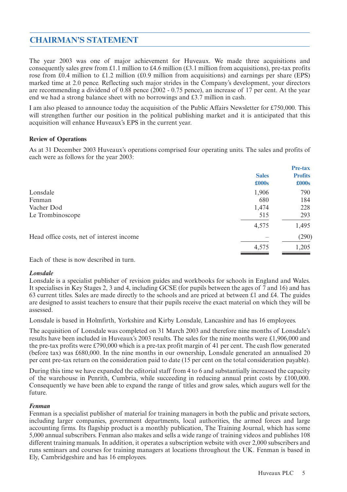### **CHAIRMAN'S STATEMENT**

The year 2003 was one of major achievement for Huveaux. We made three acquisitions and consequently sales grew from £1.1 million to £4.6 million (£3.1 million from acquisitions), pre-tax profits rose from £0.4 million to £1.2 million (£0.9 million from acquisitions) and earnings per share (EPS) marked time at 2.0 pence. Reflecting such major strides in the Company's development, your directors are recommending a dividend of 0.88 pence (2002 - 0.75 pence), an increase of 17 per cent. At the year end we had a strong balance sheet with no borrowings and £3.7 million in cash.

I am also pleased to announce today the acquisition of the Public Affairs Newsletter for £750,000. This will strengthen further our position in the political publishing market and it is anticipated that this acquisition will enhance Huveaux's EPS in the current year.

#### **Review of Operations**

As at 31 December 2003 Huveaux's operations comprised four operating units. The sales and profits of each were as follows for the year 2003:

|                                           |              | Pre-tax        |
|-------------------------------------------|--------------|----------------|
|                                           | <b>Sales</b> | <b>Profits</b> |
|                                           | £000s        | £000s          |
| Lonsdale                                  | 1,906        | 790            |
| Fenman                                    | 680          | 184            |
| Vacher Dod                                | 1,474        | 228            |
| Le Trombinoscope                          | 515          | 293            |
|                                           | 4,575        | 1,495          |
| Head office costs, net of interest income |              | (290)          |
|                                           | 4,575        | 1,205          |
|                                           |              |                |

Each of these is now described in turn.

#### *Lonsdale*

Lonsdale is a specialist publisher of revision guides and workbooks for schools in England and Wales. It specialises in Key Stages 2, 3 and 4, including GCSE (for pupils between the ages of 7 and 16) and has 63 current titles. Sales are made directly to the schools and are priced at between £1 and £4. The guides are designed to assist teachers to ensure that their pupils receive the exact material on which they will be assessed.

Lonsdale is based in Holmfirth, Yorkshire and Kirby Lonsdale, Lancashire and has 16 employees.

The acquisition of Lonsdale was completed on 31 March 2003 and therefore nine months of Lonsdale's results have been included in Huveaux's 2003 results. The sales for the nine months were £1,906,000 and the pre-tax profits were £790,000 which is a pre-tax profit margin of 41 per cent. The cash flow generated (before tax) was £680,000. In the nine months in our ownership, Lonsdale generated an annualised 20 per cent pre-tax return on the consideration paid to date (15 per cent on the total consideration payable).

During this time we have expanded the editorial staff from 4 to 6 and substantially increased the capacity of the warehouse in Penrith, Cumbria, while succeeding in reducing annual print costs by £100,000. Consequently we have been able to expand the range of titles and grow sales, which augurs well for the future.

#### *Fenman*

Fenman is a specialist publisher of material for training managers in both the public and private sectors, including larger companies, government departments, local authorities, the armed forces and large accounting firms. Its flagship product is a monthly publication, The Training Journal, which has some 5,000 annual subscribers. Fenman also makes and sells a wide range of training videos and publishes 108 different training manuals. In addition, it operates a subscription website with over 2,000 subscribers and runs seminars and courses for training managers at locations throughout the UK. Fenman is based in Ely, Cambridgeshire and has 16 employees.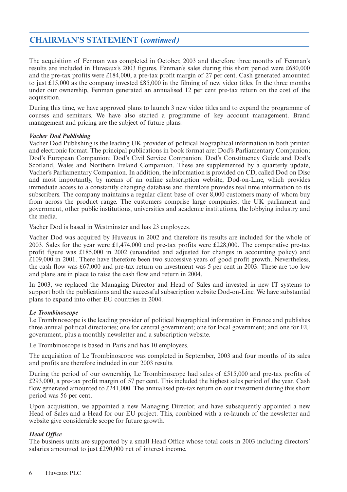### **CHAIRMAN'S STATEMENT (***continued)*

The acquisition of Fenman was completed in October, 2003 and therefore three months of Fenman's results are included in Huveaux's 2003 figures. Fenman's sales during this short period were £680,000 and the pre-tax profits were £184,000, a pre-tax profit margin of 27 per cent. Cash generated amounted to just £15,000 as the company invested £85,000 in the filming of new video titles. In the three months under our ownership, Fenman generated an annualised 12 per cent pre-tax return on the cost of the acquisition.

During this time, we have approved plans to launch 3 new video titles and to expand the programme of courses and seminars. We have also started a programme of key account management. Brand management and pricing are the subject of future plans.

#### *Vacher Dod Publishing*

Vacher Dod Publishing is the leading UK provider of political biographical information in both printed and electronic format. The principal publications in book format are: Dod's Parliamentary Companion; Dod's European Companion; Dod's Civil Service Companion; Dod's Constituency Guide and Dod's Scotland, Wales and Northern Ireland Companion. These are supplemented by a quarterly update, Vacher's Parliamentary Companion. In addition, the information is provided on CD, called Dod on Disc and most importantly, by means of an online subscription website, Dod-on-Line, which provides immediate access to a constantly changing database and therefore provides real time information to its subscribers. The company maintains a regular client base of over 8,000 customers many of whom buy from across the product range. The customers comprise large companies, the UK parliament and government, other public institutions, universities and academic institutions, the lobbying industry and the media.

Vacher Dod is based in Westminster and has 23 employees.

Vacher Dod was acquired by Huveaux in 2002 and therefore its results are included for the whole of 2003. Sales for the year were £1,474,000 and pre-tax profits were £228,000. The comparative pre-tax profit figure was £185,000 in 2002 (unaudited and adjusted for changes in accounting policy) and £109,000 in 2001. There have therefore been two successive years of good profit growth. Nevertheless, the cash flow was £67,000 and pre-tax return on investment was 5 per cent in 2003. These are too low and plans are in place to raise the cash flow and return in 2004.

In 2003, we replaced the Managing Director and Head of Sales and invested in new IT systems to support both the publications and the successful subscription website Dod-on-Line. We have substantial plans to expand into other EU countries in 2004.

#### *Le Trombinoscope*

Le Trombinoscope is the leading provider of political biographical information in France and publishes three annual political directories; one for central government; one for local government; and one for EU government, plus a monthly newsletter and a subscription website.

Le Trombinoscope is based in Paris and has 10 employees.

The acquisition of Le Trombinoscope was completed in September, 2003 and four months of its sales and profits are therefore included in our 2003 results.

During the period of our ownership, Le Trombinoscope had sales of £515,000 and pre-tax profits of £293,000, a pre-tax profit margin of 57 per cent. This included the highest sales period of the year. Cash flow generated amounted to £241,000. The annualised pre-tax return on our investment during this short period was 56 per cent.

Upon acquisition, we appointed a new Managing Director, and have subsequently appointed a new Head of Sales and a Head for our EU project. This, combined with a re-launch of the newsletter and website give considerable scope for future growth.

#### *Head Office*

The business units are supported by a small Head Office whose total costs in 2003 including directors' salaries amounted to just £290,000 net of interest income.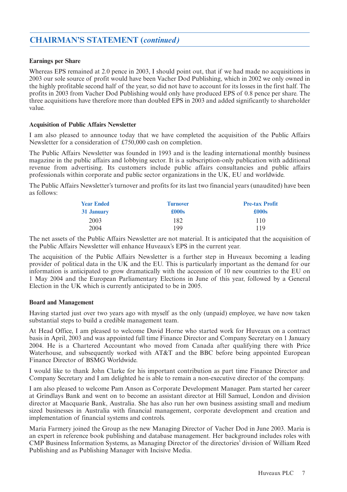### **CHAIRMAN'S STATEMENT (***continued)*

#### **Earnings per Share**

Whereas EPS remained at 2.0 pence in 2003, I should point out, that if we had made no acquisitions in 2003 our sole source of profit would have been Vacher Dod Publishing, which in 2002 we only owned in the highly profitable second half of the year, so did not have to account for its losses in the first half. The profits in 2003 from Vacher Dod Publishing would only have produced EPS of 0.8 pence per share. The three acquisitions have therefore more than doubled EPS in 2003 and added significantly to shareholder value.

#### **Acquisition of Public Affairs Newsletter**

I am also pleased to announce today that we have completed the acquisition of the Public Affairs Newsletter for a consideration of £750,000 cash on completion.

The Public Affairs Newsletter was founded in 1993 and is the leading international monthly business magazine in the public affairs and lobbying sector. It is a subscription-only publication with additional revenue from advertising. Its customers include public affairs consultancies and public affairs professionals within corporate and public sector organizations in the UK, EU and worldwide.

The Public Affairs Newsletter's turnover and profits for its last two financial years (unaudited) have been as follows:

| <b>Year Ended</b> | <b>Turnover</b> | <b>Pre-tax Profit</b> |
|-------------------|-----------------|-----------------------|
| 31 January        | £000s           | £000s                 |
| 2003              | 182             | 110                   |
| 2004              | 199             | 119                   |

The net assets of the Public Affairs Newsletter are not material. It is anticipated that the acquisition of the Public Affairs Newsletter will enhance Huveaux's EPS in the current year.

The acquisition of the Public Affairs Newsletter is a further step in Huveaux becoming a leading provider of political data in the UK and the EU. This is particularly important as the demand for our information is anticipated to grow dramatically with the accession of 10 new countries to the EU on 1 May 2004 and the European Parliamentary Elections in June of this year, followed by a General Election in the UK which is currently anticipated to be in 2005.

#### **Board and Management**

Having started just over two years ago with myself as the only (unpaid) employee, we have now taken substantial steps to build a credible management team.

At Head Office, I am pleased to welcome David Horne who started work for Huveaux on a contract basis in April, 2003 and was appointed full time Finance Director and Company Secretary on 1 January 2004. He is a Chartered Accountant who moved from Canada after qualifying there with Price Waterhouse, and subsequently worked with AT&T and the BBC before being appointed European Finance Director of BSMG Worldwide.

I would like to thank John Clarke for his important contribution as part time Finance Director and Company Secretary and I am delighted he is able to remain a non-executive director of the company.

I am also pleased to welcome Pam Anson as Corporate Development Manager. Pam started her career at Grindlays Bank and went on to become an assistant director at Hill Samuel, London and division director at Macquarie Bank, Australia. She has also run her own business assisting small and medium sized businesses in Australia with financial management, corporate development and creation and implementation of financial systems and controls.

Maria Farmery joined the Group as the new Managing Director of Vacher Dod in June 2003. Maria is an expert in reference book publishing and database management. Her background includes roles with CMP Business Information Systems, as Managing Director of the directories' division of William Reed Publishing and as Publishing Manager with Incisive Media.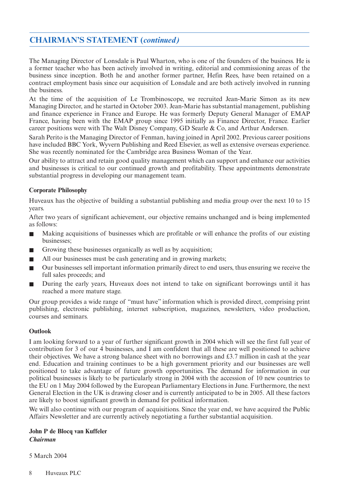### **CHAIRMAN'S STATEMENT (***continued)*

The Managing Director of Lonsdale is Paul Wharton, who is one of the founders of the business. He is a former teacher who has been actively involved in writing, editorial and commissioning areas of the business since inception. Both he and another former partner, Hefin Rees, have been retained on a contract employment basis since our acquisition of Lonsdale and are both actively involved in running the business.

At the time of the acquisition of Le Trombinoscope, we recruited Jean-Marie Simon as its new Managing Director, and he started in October 2003. Jean-Marie has substantial management, publishing and finance experience in France and Europe. He was formerly Deputy General Manager of EMAP France, having been with the EMAP group since 1995 initially as Finance Director, France. Earlier career positions were with The Walt Disney Company, GD Searle & Co, and Arthur Andersen.

Sarah Perito is the Managing Director of Fenman, having joined in April 2002. Previous career positions have included BBC York, Wyvern Publishing and Reed Elsevier, as well as extensive overseas experience. She was recently nominated for the Cambridge area Business Woman of the Year.

Our ability to attract and retain good quality management which can support and enhance our activities and businesses is critical to our continued growth and profitability. These appointments demonstrate substantial progress in developing our management team.

#### **Corporate Philosophy**

Huveaux has the objective of building a substantial publishing and media group over the next 10 to 15 years.

After two years of significant achievement, our objective remains unchanged and is being implemented as follows:

- Making acquisitions of businesses which are profitable or will enhance the profits of our existing businesses;
- Growing these businesses organically as well as by acquisition;
- All our businesses must be cash generating and in growing markets;
- Our businesses sell important information primarily direct to end users, thus ensuring we receive the full sales proceeds; and
- During the early years, Huveaux does not intend to take on significant borrowings until it has reached a more mature stage.

Our group provides a wide range of "must have" information which is provided direct, comprising print publishing, electronic publishing, internet subscription, magazines, newsletters, video production, courses and seminars.

#### **Outlook**

I am looking forward to a year of further significant growth in 2004 which will see the first full year of contribution for 3 of our 4 businesses, and I am confident that all these are well positioned to achieve their objectives. We have a strong balance sheet with no borrowings and £3.7 million in cash at the year end. Education and training continues to be a high government priority and our businesses are well positioned to take advantage of future growth opportunities. The demand for information in our political businesses is likely to be particularly strong in 2004 with the accession of 10 new countries to the EU on 1 May 2004 followed by the European Parliamentary Elections in June. Furthermore, the next General Election in the UK is drawing closer and is currently anticipated to be in 2005. All these factors are likely to boost significant growth in demand for political information.

We will also continue with our program of acquisitions. Since the year end, we have acquired the Public Affairs Newsletter and are currently actively negotiating a further substantial acquisition.

#### **John P de Blocq van Kuffeler** *Chairman*

5 March 2004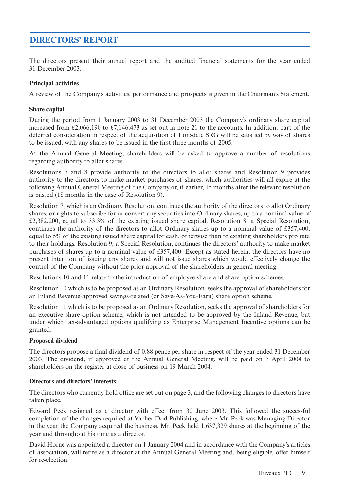### **DIRECTORS' REPORT**

The directors present their annual report and the audited financial statements for the year ended 31 December 2003.

#### **Principal activities**

A review of the Company's activities, performance and prospects is given in the Chairman's Statement.

#### **Share capital**

During the period from 1 January 2003 to 31 December 2003 the Company's ordinary share capital increased from £2,066,190 to £7,146,473 as set out in note 21 to the accounts. In addition, part of the deferred consideration in respect of the acquisition of Lonsdale SRG will be satisfied by way of shares to be issued, with any shares to be issued in the first three months of 2005.

At the Annual General Meeting, shareholders will be asked to approve a number of resolutions regarding authority to allot shares.

Resolutions 7 and 8 provide authority to the directors to allot shares and Resolution 9 provides authority to the directors to make market purchases of shares, which authorities will all expire at the following Annual General Meeting of the Company or, if earlier, 15 months after the relevant resolution is passed (18 months in the case of Resolution 9).

Resolution 7, which is an Ordinary Resolution, continues the authority of the directors to allot Ordinary shares, or rights to subscribe for or convert any securities into Ordinary shares, up to a nominal value of £2,382,200, equal to 33.3% of the existing issued share capital. Resolution 8, a Special Resolution, continues the authority of the directors to allot Ordinary shares up to a nominal value of £357,400, equal to 5% of the existing issued share capital for cash, otherwise than to existing shareholders pro rata to their holdings. Resolution 9, a Special Resolution, continues the directors' authority to make market purchases of shares up to a nominal value of £357,400. Except as stated herein, the directors have no present intention of issuing any shares and will not issue shares which would effectively change the control of the Company without the prior approval of the shareholders in general meeting.

Resolutions 10 and 11 relate to the introduction of employee share and share option schemes.

Resolution 10 which is to be proposed as an Ordinary Resolution, seeks the approval of shareholders for an Inland Revenue-approved savings-related (or Save-As-You-Earn) share option scheme.

Resolution 11 which is to be proposed as an Ordinary Resolution, seeks the approval of shareholders for an executive share option scheme, which is not intended to be approved by the Inland Revenue, but under which tax-advantaged options qualifying as Enterprise Management Incentive options can be granted.

#### **Proposed dividend**

The directors propose a final dividend of 0.88 pence per share in respect of the year ended 31 December 2003. The dividend, if approved at the Annual General Meeting, will be paid on 7 April 2004 to shareholders on the register at close of business on 19 March 2004.

#### **Directors and directors' interests**

The directors who currently hold office are set out on page 3, and the following changes to directors have taken place.

Edward Peck resigned as a director with effect from 30 June 2003. This followed the successful completion of the changes required at Vacher Dod Publishing, where Mr. Peck was Managing Director in the year the Company acquired the business. Mr. Peck held 1,637,329 shares at the beginning of the year and throughout his time as a director.

David Horne was appointed a director on 1 January 2004 and in accordance with the Company's articles of association, will retire as a director at the Annual General Meeting and, being eligible, offer himself for re-election.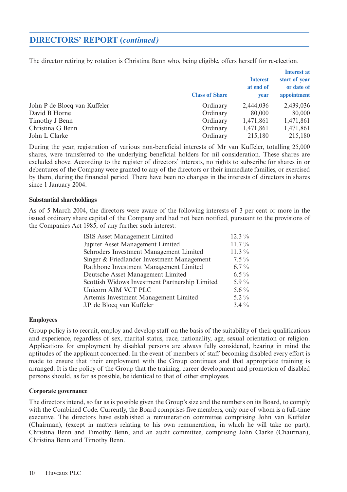### **DIRECTORS' REPORT (***continued)*

The director retiring by rotation is Christina Benn who, being eligible, offers herself for re-election.

|                              | <b>Class of Share</b> | <b>Interest</b><br>at end of<br><b>vear</b> | <b>Interest at</b><br>start of year<br>or date of<br>appointment |
|------------------------------|-----------------------|---------------------------------------------|------------------------------------------------------------------|
| John P de Blocq van Kuffeler | Ordinary              | 2,444,036                                   | 2,439,036                                                        |
| David B Horne                | Ordinary              | 80,000                                      | 80,000                                                           |
| Timothy J Benn               | Ordinary              | 1,471,861                                   | 1,471,861                                                        |
| Christina G Benn             | Ordinary              | 1,471,861                                   | 1,471,861                                                        |
| John L Clarke                | Ordinary              | 215,180                                     | 215,180                                                          |

During the year, registration of various non-beneficial interests of Mr van Kuffeler, totalling 25,000 shares, were transferred to the underlying beneficial holders for nil consideration. These shares are excluded above. According to the register of directors' interests, no rights to subscribe for shares in or debentures of the Company were granted to any of the directors or their immediate families, or exercised by them, during the financial period. There have been no changes in the interests of directors in shares since 1 January 2004.

#### **Substantial shareholdings**

As of 5 March 2004, the directors were aware of the following interests of 3 per cent or more in the issued ordinary share capital of the Company and had not been notified, pursuant to the provisions of the Companies Act 1985, of any further such interest:

| ISIS Asset Management Limited                  | $12.3\%$ |
|------------------------------------------------|----------|
| Jupiter Asset Management Limited               | $11.7\%$ |
| Schroders Investment Management Limited        | $11.3\%$ |
| Singer & Friedlander Investment Management     | $7.5\%$  |
| Rathbone Investment Management Limited         | $6.7\%$  |
| Deutsche Asset Management Limited              | 6.5 $\%$ |
| Scottish Widows Investment Partnership Limited | 5.9 $\%$ |
| Unicorn AIM VCT PLC                            | 5.6 $\%$ |
| Artemis Investment Management Limited          | $5.2\%$  |
| J.P. de Blocq van Kuffeler                     | $3.4\%$  |

#### **Employees**

Group policy is to recruit, employ and develop staff on the basis of the suitability of their qualifications and experience, regardless of sex, marital status, race, nationality, age, sexual orientation or religion. Applications for employment by disabled persons are always fully considered, bearing in mind the aptitudes of the applicant concerned. In the event of members of staff becoming disabled every effort is made to ensure that their employment with the Group continues and that appropriate training is arranged. It is the policy of the Group that the training, career development and promotion of disabled persons should, as far as possible, be identical to that of other employees.

#### **Corporate governance**

The directors intend, so far as is possible given the Group's size and the numbers on its Board, to comply with the Combined Code. Currently, the Board comprises five members, only one of whom is a full-time executive. The directors have established a remuneration committee comprising John van Kuffeler (Chairman), (except in matters relating to his own remuneration, in which he will take no part), Christina Benn and Timothy Benn, and an audit committee, comprising John Clarke (Chairman), Christina Benn and Timothy Benn.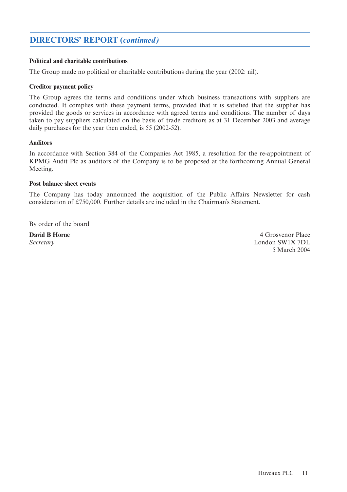### **DIRECTORS' REPORT (***continued)*

#### **Political and charitable contributions**

The Group made no political or charitable contributions during the year (2002: nil).

#### **Creditor payment policy**

The Group agrees the terms and conditions under which business transactions with suppliers are conducted. It complies with these payment terms, provided that it is satisfied that the supplier has provided the goods or services in accordance with agreed terms and conditions. The number of days taken to pay suppliers calculated on the basis of trade creditors as at 31 December 2003 and average daily purchases for the year then ended, is 55 (2002-52).

#### **Auditors**

In accordance with Section 384 of the Companies Act 1985, a resolution for the re-appointment of KPMG Audit Plc as auditors of the Company is to be proposed at the forthcoming Annual General Meeting.

#### **Post balance sheet events**

The Company has today announced the acquisition of the Public Affairs Newsletter for cash consideration of £750,000. Further details are included in the Chairman's Statement.

By order of the board

**David B Horne** 4 Grosvenor Place *Secretary* London SW1X 7DL 5 March 2004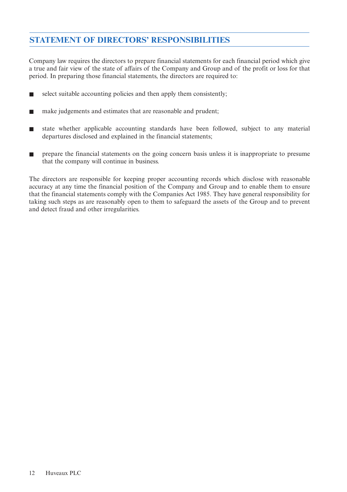### **STATEMENT OF DIRECTORS' RESPONSIBILITIES**

Company law requires the directors to prepare financial statements for each financial period which give a true and fair view of the state of affairs of the Company and Group and of the profit or loss for that period. In preparing those financial statements, the directors are required to:

- select suitable accounting policies and then apply them consistently;
- make judgements and estimates that are reasonable and prudent;
- state whether applicable accounting standards have been followed, subject to any material departures disclosed and explained in the financial statements;
- prepare the financial statements on the going concern basis unless it is inappropriate to presume that the company will continue in business.

The directors are responsible for keeping proper accounting records which disclose with reasonable accuracy at any time the financial position of the Company and Group and to enable them to ensure that the financial statements comply with the Companies Act 1985. They have general responsibility for taking such steps as are reasonably open to them to safeguard the assets of the Group and to prevent and detect fraud and other irregularities.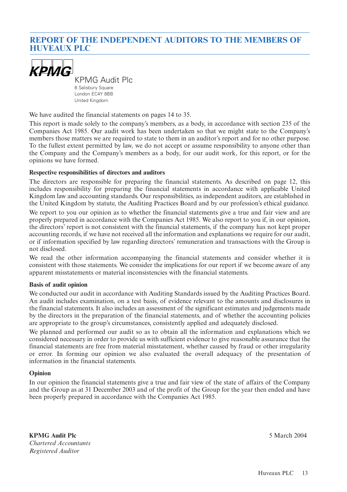### **REPORT OF THE INDEPENDENT AUDITORS TO THE MEMBERS OF HUVEAUX PLC**



KPMG Audit Plc 8 Salisbury Square

London EC4Y 8BB United Kingdom

We have audited the financial statements on pages 14 to 35.

This report is made solely to the company's members, as a body, in accordance with section 235 of the Companies Act 1985. Our audit work has been undertaken so that we might state to the Company's members those matters we are required to state to them in an auditor's report and for no other purpose. To the fullest extent permitted by law, we do not accept or assume responsibility to anyone other than the Company and the Company's members as a body, for our audit work, for this report, or for the opinions we have formed.

#### **Respective responsibilities of directors and auditors**

The directors are responsible for preparing the financial statements. As described on page 12, this includes responsibility for preparing the financial statements in accordance with applicable United Kingdom law and accounting standards. Our responsibilities, as independent auditors, are established in the United Kingdom by statute, the Auditing Practices Board and by our profession's ethical guidance.

We report to you our opinion as to whether the financial statements give a true and fair view and are properly prepared in accordance with the Companies Act 1985. We also report to you if, in our opinion, the directors' report is not consistent with the financial statements, if the company has not kept proper accounting records, if we have not received all the information and explanations we require for our audit, or if information specified by law regarding directors' remuneration and transactions with the Group is not disclosed.

We read the other information accompanying the financial statements and consider whether it is consistent with those statements. We consider the implications for our report if we become aware of any apparent misstatements or material inconsistencies with the financial statements.

#### **Basis of audit opinion**

We conducted our audit in accordance with Auditing Standards issued by the Auditing Practices Board. An audit includes examination, on a test basis, of evidence relevant to the amounts and disclosures in the financial statements. It also includes an assessment of the significant estimates and judgements made by the directors in the preparation of the financial statements, and of whether the accounting policies are appropriate to the group's circumstances, consistently applied and adequately disclosed.

We planned and performed our audit so as to obtain all the information and explanations which we considered necessary in order to provide us with sufficient evidence to give reasonable assurance that the financial statements are free from material misstatement, whether caused by fraud or other irregularity or error. In forming our opinion we also evaluated the overall adequacy of the presentation of information in the financial statements.

#### **Opinion**

In our opinion the financial statements give a true and fair view of the state of affairs of the Company and the Group as at 31 December 2003 and of the profit of the Group for the year then ended and have been properly prepared in accordance with the Companies Act 1985.

**KPMG Audit Plc** 5 March 2004 *Chartered Accountants Registered Auditor*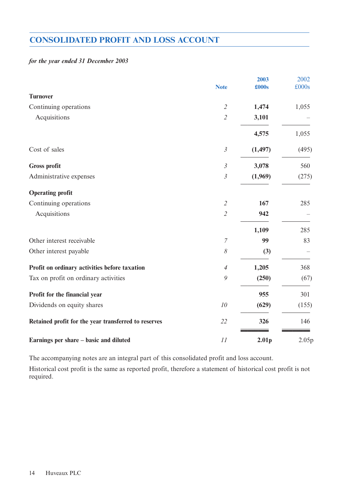### **CONSOLIDATED PROFIT AND LOSS ACCOUNT**

#### *for the year ended 31 December 2003*

|                                                      | <b>Note</b>    | 2003<br>£000s     | 2002<br>£000s |
|------------------------------------------------------|----------------|-------------------|---------------|
| <b>Turnover</b>                                      |                |                   |               |
| Continuing operations                                | $\mathfrak{2}$ | 1,474             | 1,055         |
| Acquisitions                                         | $\overline{2}$ | 3,101             |               |
|                                                      |                | 4,575             | 1,055         |
| Cost of sales                                        | $\mathfrak{Z}$ | (1, 497)          | (495)         |
| <b>Gross profit</b>                                  | $\mathfrak{Z}$ | 3,078             | 560           |
| Administrative expenses                              | $\mathfrak{Z}$ | (1,969)           | (275)         |
| <b>Operating profit</b>                              |                |                   |               |
| Continuing operations                                | $\mathfrak{2}$ | 167               | 285           |
| Acquisitions                                         | $\overline{2}$ | 942               |               |
|                                                      |                | 1,109             | 285           |
| Other interest receivable                            | $\overline{7}$ | 99                | 83            |
| Other interest payable                               | 8              | (3)               |               |
| Profit on ordinary activities before taxation        | $\overline{4}$ | 1,205             | 368           |
| Tax on profit on ordinary activities                 | 9              | (250)             | (67)          |
| Profit for the financial year                        |                | 955               | 301           |
| Dividends on equity shares                           | $10\,$         | (629)             | (155)         |
| Retained profit for the year transferred to reserves | 22             | 326               | 146           |
| Earnings per share – basic and diluted               | 11             | 2.01 <sub>p</sub> | 2.05p         |

The accompanying notes are an integral part of this consolidated profit and loss account.

Historical cost profit is the same as reported profit, therefore a statement of historical cost profit is not required.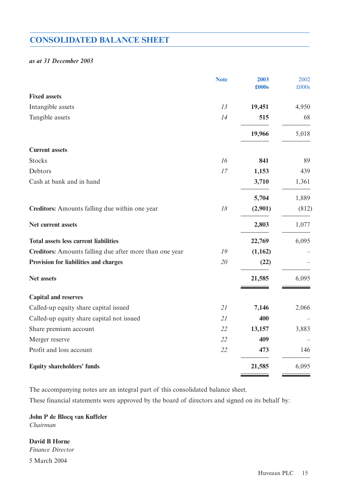### **CONSOLIDATED BALANCE SHEET**

#### *as at 31 December 2003*

|                                                         | <b>Note</b> | 2003<br>£000s | 2002<br>£000s |
|---------------------------------------------------------|-------------|---------------|---------------|
| <b>Fixed assets</b>                                     |             |               |               |
| Intangible assets                                       | 13          | 19,451        | 4,950         |
| Tangible assets                                         | 14          | 515           | 68            |
|                                                         |             | 19,966        | 5,018         |
| <b>Current assets</b>                                   |             |               |               |
| <b>Stocks</b>                                           | 16          | 841           | 89            |
| Debtors                                                 | 17          | 1,153         | 439           |
| Cash at bank and in hand                                |             | 3,710         | 1,361         |
|                                                         |             | 5,704         | 1,889         |
| Creditors: Amounts falling due within one year          | 18          | (2,901)       | (812)         |
| Net current assets                                      |             | 2,803         | 1,077         |
| <b>Total assets less current liabilities</b>            |             | 22,769        | 6,095         |
| Creditors: Amounts falling due after more than one year | 19          | (1,162)       |               |
| Provision for liabilities and charges                   | 20          | (22)          |               |
| Net assets                                              |             | 21,585        | 6,095         |
| <b>Capital and reserves</b>                             |             |               |               |
| Called-up equity share capital issued                   | 21          | 7,146         | 2,066         |
| Called-up equity share capital not issued               | 21          | 400           |               |
| Share premium account                                   | 22          | 13,157        | 3,883         |
| Merger reserve                                          | 22          | 409           |               |
| Profit and loss account                                 | 22          | 473           | 146           |
| <b>Equity shareholders' funds</b>                       |             | 21,585        | 6,095         |

The accompanying notes are an integral part of this consolidated balance sheet.

These financial statements were approved by the board of directors and signed on its behalf by:

**John P de Blocq van Kuffeler** *Chairman*

**David B Horne** *Finance Director* 5 March 2004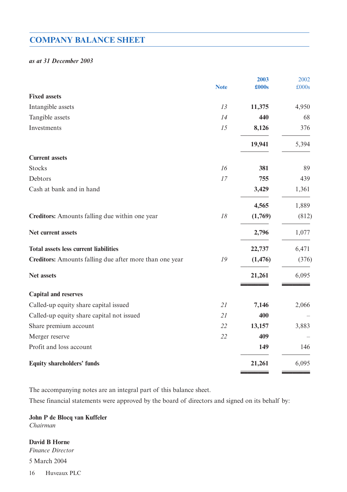### **COMPANY BALANCE SHEET**

#### *as at 31 December 2003*

|                                                         |             | 2003     | 2002  |
|---------------------------------------------------------|-------------|----------|-------|
|                                                         | <b>Note</b> | £000s    | £000s |
| <b>Fixed assets</b>                                     |             |          |       |
| Intangible assets                                       | 13          | 11,375   | 4,950 |
| Tangible assets                                         | 14          | 440      | 68    |
| Investments                                             | 15          | 8,126    | 376   |
|                                                         |             | 19,941   | 5,394 |
| <b>Current assets</b>                                   |             |          |       |
| <b>Stocks</b>                                           | 16          | 381      | 89    |
| Debtors                                                 | 17          | 755      | 439   |
| Cash at bank and in hand                                |             | 3,429    | 1,361 |
|                                                         |             | 4,565    | 1,889 |
| Creditors: Amounts falling due within one year          | $18\,$      | (1,769)  | (812) |
| Net current assets                                      |             | 2,796    | 1,077 |
| <b>Total assets less current liabilities</b>            |             | 22,737   | 6,471 |
| Creditors: Amounts falling due after more than one year | 19          | (1, 476) | (376) |
| Net assets                                              |             | 21,261   | 6,095 |
| <b>Capital and reserves</b>                             |             |          |       |
| Called-up equity share capital issued                   | 21          | 7,146    | 2,066 |
| Called-up equity share capital not issued               | 21          | 400      |       |
| Share premium account                                   | 22          | 13,157   | 3,883 |
| Merger reserve                                          | 22          | 409      |       |
| Profit and loss account                                 |             | 149      | 146   |
| <b>Equity shareholders' funds</b>                       |             | 21,261   | 6,095 |

The accompanying notes are an integral part of this balance sheet.

These financial statements were approved by the board of directors and signed on its behalf by:

**John P de Blocq van Kuffeler** *Chairman*

**David B Horne**

*Finance Director* 

5 March 2004

16 Huveaux PLC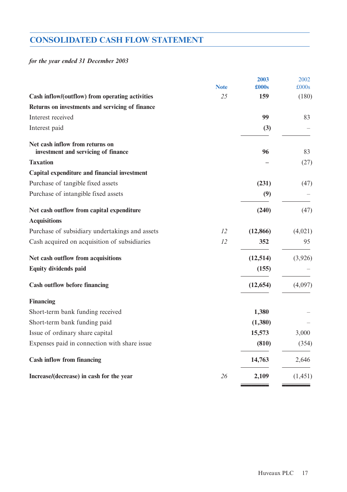## **CONSOLIDATED CASH FLOW STATEMENT**

### *for the year ended 31 December 2003*

|                                                                        |             | 2003      | 2002     |
|------------------------------------------------------------------------|-------------|-----------|----------|
|                                                                        | <b>Note</b> | £000s     | £000s    |
| Cash inflow/(outflow) from operating activities                        | 25          | 159       | (180)    |
| Returns on investments and servicing of finance                        |             |           |          |
| Interest received                                                      |             | 99        | 83       |
| Interest paid                                                          |             | (3)       |          |
| Net cash inflow from returns on<br>investment and servicing of finance |             | 96        | 83       |
| <b>Taxation</b>                                                        |             |           | (27)     |
| Capital expenditure and financial investment                           |             |           |          |
| Purchase of tangible fixed assets                                      |             | (231)     | (47)     |
| Purchase of intangible fixed assets                                    |             | (9)       |          |
| Net cash outflow from capital expenditure                              |             | (240)     | (47)     |
| <b>Acquisitions</b>                                                    |             |           |          |
| Purchase of subsidiary undertakings and assets                         | 12          | (12, 866) | (4,021)  |
| Cash acquired on acquisition of subsidiaries                           | 12          | 352       | 95       |
| Net cash outflow from acquisitions                                     |             | (12, 514) | (3,926)  |
| <b>Equity dividends paid</b>                                           |             | (155)     |          |
| <b>Cash outflow before financing</b>                                   |             | (12, 654) | (4,097)  |
| <b>Financing</b>                                                       |             |           |          |
| Short-term bank funding received                                       |             | 1,380     |          |
| Short-term bank funding paid                                           |             | (1,380)   |          |
| Issue of ordinary share capital                                        |             | 15,573    | 3,000    |
| Expenses paid in connection with share issue                           |             | (810)     | (354)    |
| <b>Cash inflow from financing</b>                                      |             | 14,763    | 2,646    |
| Increase/(decrease) in cash for the year                               | 26          | 2,109     | (1, 451) |
|                                                                        |             |           |          |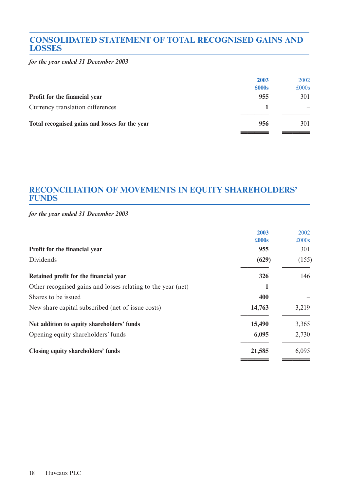### **CONSOLIDATED STATEMENT OF TOTAL RECOGNISED GAINS AND LOSSES**

*for the year ended 31 December 2003*

|                                                | 2003          | 2002          |
|------------------------------------------------|---------------|---------------|
|                                                | $\pounds000s$ | $\pounds000s$ |
| Profit for the financial year                  | 955           | 301           |
| Currency translation differences               |               |               |
| Total recognised gains and losses for the year | 956           | 301           |
|                                                |               |               |

### **RECONCILIATION OF MOVEMENTS IN EQUITY SHAREHOLDERS' FUNDS**

*for the year ended 31 December 2003*

|                                                              | 2003          | 2002          |
|--------------------------------------------------------------|---------------|---------------|
|                                                              | $\pounds000s$ | $\pounds000s$ |
| Profit for the financial year                                | 955           | 301           |
| Dividends                                                    | (629)         | (155)         |
| Retained profit for the financial year                       | 326           | 146           |
| Other recognised gains and losses relating to the year (net) |               |               |
| Shares to be issued                                          | 400           |               |
| New share capital subscribed (net of issue costs)            | 14,763        | 3,219         |
| Net addition to equity shareholders' funds                   | 15,490        | 3,365         |
| Opening equity shareholders' funds                           | 6,095         | 2,730         |
| Closing equity shareholders' funds                           | 21,585        | 6,095         |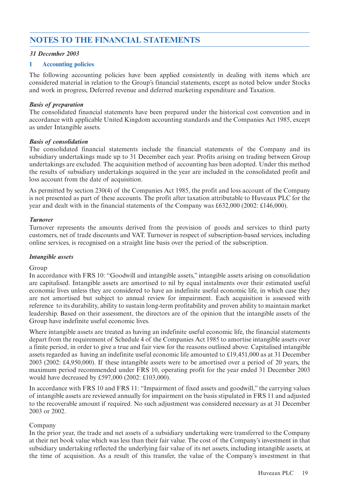### **NOTES TO THE FINANCIAL STATEMENTS**

#### *31 December 2003*

#### **1 Accounting policies**

The following accounting policies have been applied consistently in dealing with items which are considered material in relation to the Group's financial statements, except as noted below under Stocks and work in progress, Deferred revenue and deferred marketing expenditure and Taxation.

#### *Basis of preparation*

The consolidated financial statements have been prepared under the historical cost convention and in accordance with applicable United Kingdom accounting standards and the Companies Act 1985, except as under Intangible assets.

#### *Basis of consolidation*

The consolidated financial statements include the financial statements of the Company and its subsidiary undertakings made up to 31 December each year. Profits arising on trading between Group undertakings are excluded. The acquisition method of accounting has been adopted. Under this method the results of subsidiary undertakings acquired in the year are included in the consolidated profit and loss account from the date of acquisition.

As permitted by section 230(4) of the Companies Act 1985, the profit and loss account of the Company is not presented as part of these accounts. The profit after taxation attributable to Huveaux PLC for the year and dealt with in the financial statements of the Company was £632,000 (2002: £146,000).

#### *Turnover*

Turnover represents the amounts derived from the provision of goods and services to third party customers, net of trade discounts and VAT. Turnover in respect of subscription-based services, including online services, is recognised on a straight line basis over the period of the subscription.

#### *Intangible assets*

#### Group

In accordance with FRS 10: "Goodwill and intangible assets," intangible assets arising on consolidation are capitalised. Intangible assets are amortised to nil by equal instalments over their estimated useful economic lives unless they are considered to have an indefinite useful economic life, in which case they are not amortised but subject to annual review for impairment. Each acquisition is assessed with reference to its durability, ability to sustain long-term profitability and proven ability to maintain market leadership. Based on their assessment, the directors are of the opinion that the intangible assets of the Group have indefinite useful economic lives.

Where intangible assets are treated as having an indefinite useful economic life, the financial statements depart from the requirement of Schedule 4 of the Companies Act 1985 to amortise intangible assets over a finite period, in order to give a true and fair view for the reasons outlined above. Capitalised intangible assets regarded as having an indefinite useful economic life amounted to £19,451,000 as at 31 December 2003 (2002: £4,950,000). If these intangible assets were to be amortised over a period of 20 years, the maximum period recommended under FRS 10, operating profit for the year ended 31 December 2003 would have decreased by £597,000 (2002: £103,000).

In accordance with FRS 10 and FRS 11: "Impairment of fixed assets and goodwill," the carrying values of intangible assets are reviewed annually for impairment on the basis stipulated in FRS 11 and adjusted to the recoverable amount if required. No such adjustment was considered necessary as at 31 December 2003 or 2002.

#### Company

In the prior year, the trade and net assets of a subsidiary undertaking were transferred to the Company at their net book value which was less than their fair value. The cost of the Company's investment in that subsidiary undertaking reflected the underlying fair value of its net assets, including intangible assets, at the time of acquisition. As a result of this transfer, the value of the Company's investment in that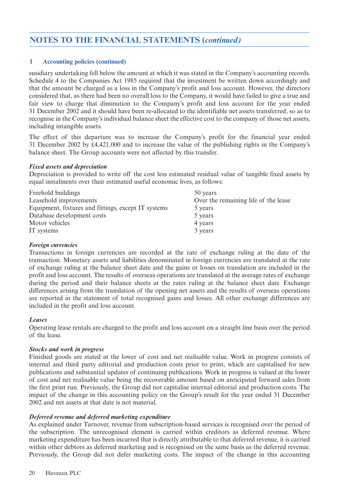#### **1 Accounting policies (continued)**

susidiary undertaking fell below the amount at which it was stated in the Company's accounting records. Schedule 4 to the Companies Act 1985 required that the investment be written down accordingly and that the amount be charged as a loss in the Company's profit and loss account. However, the directors considered that, as there had been no overall loss to the Company, it would have failed to give a true and fair view to charge that diminution to the Company's profit and loss account for the year ended 31 December 2002 and it should have been re-allocated to the identifiable net assets transferred, so as to recognise in the Company's individual balance sheet the effective cost to the company of those net assets, including intangible assets.

The effect of this departure was to increase the Company's profit for the financial year ended 31 December 2002 by £4,421,000 and to increase the value of the publishing rights in the Company's balance sheet. The Group accounts were not affected by this transfer.

#### *Fixed assets and depreciation*

Depreciation is provided to write off the cost less estimated residual value of tangible fixed assets by equal instalments over their estimated useful economic lives, as follows:

| Freehold buildings                                  | 50 years                             |
|-----------------------------------------------------|--------------------------------------|
| Leasehold improvements                              | Over the remaining life of the lease |
| Equipment, fixtures and fittings, except IT systems | 5 years                              |
| Database development costs                          | 5 years                              |
| Motor vehicles                                      | 4 years                              |
| IT systems                                          | 3 years                              |

#### *Foreign currencies*

Transactions in foreign currencies are recorded at the rate of exchange ruling at the date of the transaction. Monetary assets and liabilities denominated in foreign currencies are translated at the rate of exchange ruling at the balance sheet date and the gains or losses on translation are included in the profit and loss account. The results of overseas operations are translated at the average rates of exchange during the period and their balance sheets at the rates ruling at the balance sheet date. Exchange differences arising from the translation of the opening net assets and the results of overseas operations are reported in the statement of total recognised gains and losses. All other exchange differences are included in the profit and loss account.

#### *Leases*

Operating lease rentals are charged to the profit and loss account on a straight line basis over the period of the lease.

#### *Stocks and work in progress*

Finished goods are stated at the lower of cost and net realisable value. Work in progress consists of internal and third party editorial and production costs prior to print, which are capitalised for new publications and substantial updates of continuing publications. Work in progress is valued at the lower of cost and net realisable value being the recoverable amount based on anticipated forward sales from the first print run. Previously, the Group did not capitalise internal editorial and production costs. The impact of the change in this accounting policy on the Group's result for the year ended 31 December 2002 and net assets at that date is not material.

#### *Deferred revenue and deferred marketing expenditure*

As explained under Turnover, revenue from subscription-based services is recognised over the period of the subscription. The unrecognised element is carried within creditors as deferred revenue. Where marketing expenditure has been incurred that is directly attributable to that deferred revenue, it is carried within other debtors as deferred marketing and is recognised on the same basis as the deferred revenue. Previously, the Group did not defer marketing costs. The impact of the change in this accounting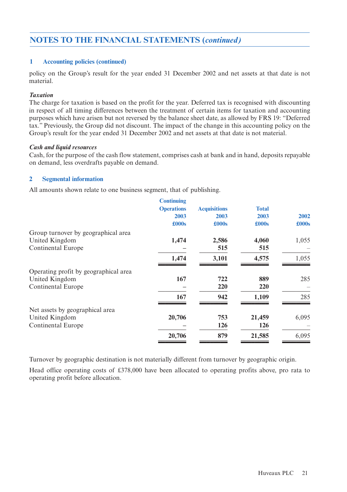#### **1 Accounting policies (continued)**

policy on the Group's result for the year ended 31 December 2002 and net assets at that date is not material.

#### *Taxation*

The charge for taxation is based on the profit for the year. Deferred tax is recognised with discounting in respect of all timing differences between the treatment of certain items for taxation and accounting purposes which have arisen but not reversed by the balance sheet date, as allowed by FRS 19: "Deferred tax." Previously, the Group did not discount. The impact of the change in this accounting policy on the Group's result for the year ended 31 December 2002 and net assets at that date is not material.

#### *Cash and liquid resources*

Cash, for the purpose of the cash flow statement, comprises cash at bank and in hand, deposits repayable on demand, less overdrafts payable on demand.

#### **2 Segmental information**

All amounts shown relate to one business segment, that of publishing.

| <b>Acquisitions</b> | <b>Total</b>           |
|---------------------|------------------------|
| 2003                | 2003<br>2002           |
| £000s               | £000s<br>$\pounds000s$ |
|                     |                        |
| 2,586<br>4,060      | 1,055                  |
| 515                 | 515                    |
| 3,101<br>4,575      | 1,055                  |
|                     |                        |
| 722                 | 889<br>285             |
| 220                 | 220                    |
| 942<br>1,109        | 285                    |
|                     |                        |
| 753<br>21,459       | 6,095                  |
| 126                 | 126                    |
| 879<br>21,585       | 6,095                  |
|                     |                        |

Turnover by geographic destination is not materially different from turnover by geographic origin.

Head office operating costs of £378,000 have been allocated to operating profits above, pro rata to operating profit before allocation.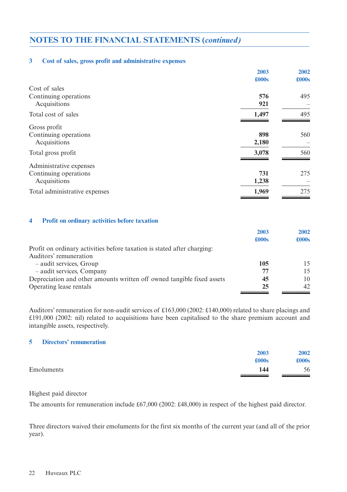#### **3 Cost of sales, gross profit and administrative expenses**

|                               | 2003  | 2002  |
|-------------------------------|-------|-------|
|                               | £000s | £000s |
| Cost of sales                 |       |       |
| Continuing operations         | 576   | 495   |
| Acquisitions                  | 921   |       |
| Total cost of sales           | 1,497 | 495   |
| Gross profit                  |       |       |
| Continuing operations         | 898   | 560   |
| Acquisitions                  | 2,180 |       |
| Total gross profit            | 3,078 | 560   |
| Administrative expenses       |       |       |
| Continuing operations         | 731   | 275   |
| Acquisitions                  | 1,238 |       |
| Total administrative expenses | 1,969 | 275   |

#### **4 Profit on ordinary activities before taxation**

|                                                                         | 2003  | 2002          |
|-------------------------------------------------------------------------|-------|---------------|
|                                                                         | £000s | $\pounds000s$ |
| Profit on ordinary activities before taxation is stated after charging. |       |               |
| Auditors' remuneration                                                  |       |               |
| - audit services, Group                                                 | 105   | 15            |
| - audit services, Company                                               | 77    | 15            |
| Depreciation and other amounts written off owned tangible fixed assets  | 45    | 10            |
| Operating lease rentals                                                 | 25    | 42            |
|                                                                         |       |               |

Auditors'remuneration for non-audit services of £163,000 (2002: £140,000) related to share placings and £191,000 (2002: nil) related to acquisitions have been capitalised to the share premium account and intangible assets, respectively.

#### **5 Directors' remuneration**

| 2003              | 2002  |
|-------------------|-------|
| £000s             | £000s |
| Emoluments<br>144 | 56    |

Highest paid director

The amounts for remuneration include £67,000 (2002: £48,000) in respect of the highest paid director.

Three directors waived their emoluments for the first six months of the current year (and all of the prior year).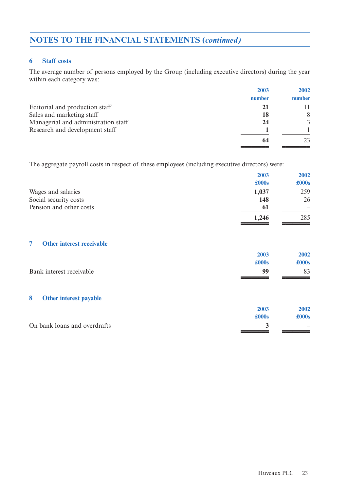#### **6 Staff costs**

The average number of persons employed by the Group (including executive directors) during the year within each category was:

|                                     | 2003   | 2002   |
|-------------------------------------|--------|--------|
|                                     | number | number |
| Editorial and production staff      | 21     |        |
| Sales and marketing staff           | 18     | 8      |
| Managerial and administration staff | 24     | 3      |
| Research and development staff      |        |        |
|                                     | 64     | 23     |
|                                     |        |        |

The aggregate payroll costs in respect of these employees (including executive directors) were:

|                         | 2003          | 2002          |
|-------------------------|---------------|---------------|
|                         | $\pounds000s$ | $\pounds000s$ |
| Wages and salaries      | 1,037         | 259           |
| Social security costs   | 148           | 26            |
| Pension and other costs | 61            |               |
|                         | 1,246         | 285           |

#### **7 Other interest receivable**

| 2003  | 2002  |
|-------|-------|
| £000s | £000s |
| 99    | 83    |
|       |       |
| 2003  | 2002  |
| £000s | £000s |
| 3     |       |
|       |       |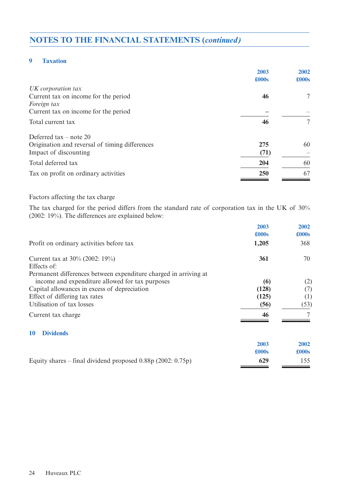#### **9 Taxation**

|                                                | 2003  | 2002          |
|------------------------------------------------|-------|---------------|
|                                                | £000s | $\pounds000s$ |
| UK corporation tax                             |       |               |
| Current tax on income for the period           | 46    | 7             |
| Foreign tax                                    |       |               |
| Current tax on income for the period           |       |               |
| Total current tax                              | 46    | 7             |
| Deferred tax – note 20                         |       |               |
| Origination and reversal of timing differences | 275   | 60            |
| Impact of discounting                          | (71)  |               |
| Total deferred tax                             | 204   | 60            |
| Tax on profit on ordinary activities           | 250   | 67            |
|                                                |       |               |

#### Factors affecting the tax charge

The tax charged for the period differs from the standard rate of corporation tax in the UK of 30% (2002: 19%). The differences are explained below:

|                                                                  | 2003          | 2002          |
|------------------------------------------------------------------|---------------|---------------|
|                                                                  | £000s         | $\pounds000s$ |
| Profit on ordinary activities before tax                         | 1,205         | 368           |
| Current tax at 30% (2002: 19%)                                   | 361           | 70            |
| Effects of:                                                      |               |               |
| Permanent differences between expenditure charged in arriving at |               |               |
| income and expenditure allowed for tax purposes                  | (6)           | (2)           |
| Capital allowances in excess of depreciation                     | (128)         | (7)           |
| Effect of differing tax rates                                    | (125)         | (1)           |
| Utilisation of tax losses                                        | (56)          | (53)          |
| Current tax charge                                               | 46            |               |
| <b>Dividends</b><br>10                                           |               |               |
|                                                                  | 2003          | 2002          |
|                                                                  | $\pounds000s$ | $\pounds000s$ |
| Equity shares – final dividend proposed $0.88p(2002: 0.75p)$     | 629           | 155           |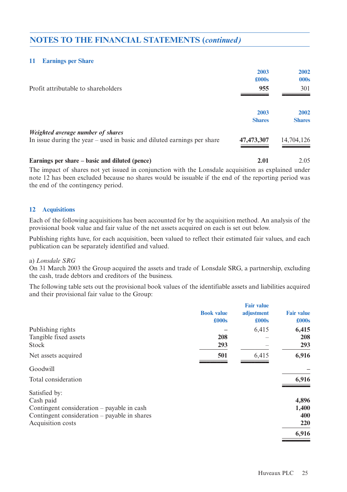#### **11 Earnings per Share**

|                                                                         | 2003          | 2002          |
|-------------------------------------------------------------------------|---------------|---------------|
|                                                                         | £000s         | 000s          |
| Profit attributable to shareholders                                     | 955           | 301           |
|                                                                         | 2003          | 2002          |
|                                                                         | <b>Shares</b> | <b>Shares</b> |
| Weighted average number of shares                                       |               |               |
| In issue during the year – used in basic and diluted earnings per share | 47, 473, 307  | 14,704,126    |
|                                                                         |               |               |

**Earnings per share – basic and diluted (pence) 2.01** 2.05 The impact of shares not yet issued in conjunction with the Lonsdale acquisition as explained under

note 12 has been excluded because no shares would be issuable if the end of the reporting period was the end of the contingency period.

#### **12 Acquisitions**

Each of the following acquisitions has been accounted for by the acquisition method. An analysis of the provisional book value and fair value of the net assets acquired on each is set out below.

Publishing rights have, for each acquisition, been valued to reflect their estimated fair values, and each publication can be separately identified and valued.

#### a) *Lonsdale SRG*

On 31 March 2003 the Group acquired the assets and trade of Lonsdale SRG, a partnership, excluding the cash, trade debtors and creditors of the business.

The following table sets out the provisional book values of the identifiable assets and liabilities acquired and their provisional fair value to the Group:

|                                              |                   | <b>Fair value</b> |                   |
|----------------------------------------------|-------------------|-------------------|-------------------|
|                                              | <b>Book value</b> | adjustment        | <b>Fair value</b> |
|                                              | £000s             | £000s             | £000s             |
| Publishing rights                            |                   | 6,415             | 6,415             |
| Tangible fixed assets                        | 208               |                   | 208               |
| Stock                                        | 293               |                   | 293               |
| Net assets acquired                          | 501               | 6,415             | 6,916             |
| Goodwill                                     |                   |                   |                   |
| Total consideration                          |                   |                   | 6,916             |
| Satisfied by:                                |                   |                   |                   |
| Cash paid                                    |                   |                   | 4,896             |
| Contingent consideration – payable in cash   |                   |                   | 1,400             |
| Contingent consideration – payable in shares |                   |                   | 400               |
| Acquisition costs                            |                   |                   | 220               |
|                                              |                   |                   | 6,916             |
|                                              |                   |                   |                   |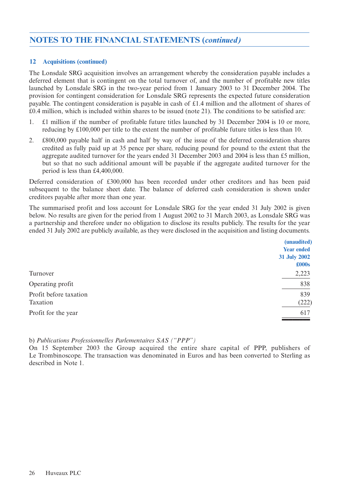#### **12 Acquisitions (continued)**

The Lonsdale SRG acquisition involves an arrangement whereby the consideration payable includes a deferred element that is contingent on the total turnover of, and the number of profitable new titles launched by Lonsdale SRG in the two-year period from 1 January 2003 to 31 December 2004. The provision for contingent consideration for Lonsdale SRG represents the expected future consideration payable. The contingent consideration is payable in cash of £1.4 million and the allotment of shares of £0.4 million, which is included within shares to be issued (note 21). The conditions to be satisfied are:

- 1. £1 million if the number of profitable future titles launched by 31 December 2004 is 10 or more, reducing by £100,000 per title to the extent the number of profitable future titles is less than 10.
- 2. £800,000 payable half in cash and half by way of the issue of the deferred consideration shares credited as fully paid up at 35 pence per share, reducing pound for pound to the extent that the aggregate audited turnover for the years ended 31 December 2003 and 2004 is less than £5 million, but so that no such additional amount will be payable if the aggregate audited turnover for the period is less than £4,400,000.

Deferred consideration of £300,000 has been recorded under other creditors and has been paid subsequent to the balance sheet date. The balance of deferred cash consideration is shown under creditors payable after more than one year.

The summarised profit and loss account for Lonsdale SRG for the year ended 31 July 2002 is given below. No results are given for the period from 1 August 2002 to 31 March 2003, as Lonsdale SRG was a partnership and therefore under no obligation to disclose its results publicly. The results for the year ended 31 July 2002 are publicly available, as they were disclosed in the acquisition and listing documents.

|                                    | (unaudited)<br><b>Year ended</b> |
|------------------------------------|----------------------------------|
|                                    | 31 July 2002<br>$\pounds000s$    |
| Turnover                           | 2,223                            |
| Operating profit                   | 838                              |
| Profit before taxation<br>Taxation | 839<br>(222)                     |
| Profit for the year                | 617                              |
|                                    |                                  |

b) *Publications Professionnelles Parlementaires SAS ("PPP")*

On 15 September 2003 the Group acquired the entire share capital of PPP, publishers of Le Trombinoscope. The transaction was denominated in Euros and has been converted to Sterling as described in Note 1.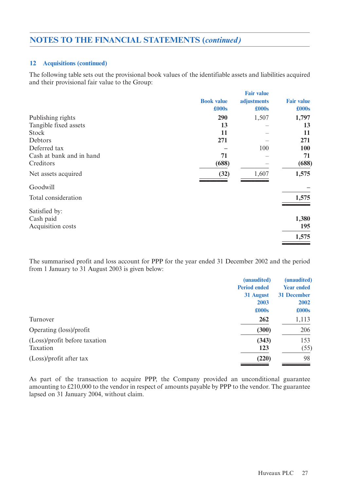#### **12 Acquisitions (continued)**

The following table sets out the provisional book values of the identifiable assets and liabilities acquired and their provisional fair value to the Group:

|                          |                   | <b>Fair value</b> |                   |
|--------------------------|-------------------|-------------------|-------------------|
|                          | <b>Book value</b> | adjustments       | <b>Fair value</b> |
|                          | £000s             | £000s             | £000s             |
| Publishing rights        | 290               | 1,507             | 1,797             |
| Tangible fixed assets    | 13                |                   | 13                |
| Stock                    | 11                |                   | 11                |
| Debtors                  | 271               |                   | 271               |
| Deferred tax             |                   | 100               | 100               |
| Cash at bank and in hand | 71                |                   | 71                |
| Creditors                | (688)             |                   | (688)             |
| Net assets acquired      | (32)              | 1,607             | 1,575             |
| Goodwill                 |                   |                   |                   |
| Total consideration      |                   |                   | 1,575             |
| Satisfied by:            |                   |                   |                   |
| Cash paid                |                   |                   | 1,380             |
| Acquisition costs        |                   |                   | 195               |
|                          |                   |                   | 1,575             |
|                          |                   |                   |                   |

The summarised profit and loss account for PPP for the year ended 31 December 2002 and the period from 1 January to 31 August 2003 is given below:

|                               | (unaudited)         | (unaudited)       |
|-------------------------------|---------------------|-------------------|
|                               | <b>Period ended</b> | <b>Year ended</b> |
|                               | 31 August           | 31 December       |
|                               | 2003                | 2002              |
|                               | £000s               | £000s             |
| Turnover                      | 262                 | 1,113             |
| Operating (loss)/profit       | (300)               | 206               |
| (Loss)/profit before taxation | (343)               | 153               |
| Taxation                      | <b>123</b>          | (55)              |
| (Loss)/profit after tax       | (220)               | 98                |

As part of the transaction to acquire PPP, the Company provided an unconditional guarantee amounting to £210,000 to the vendor in respect of amounts payable by PPP to the vendor. The guarantee lapsed on 31 January 2004, without claim.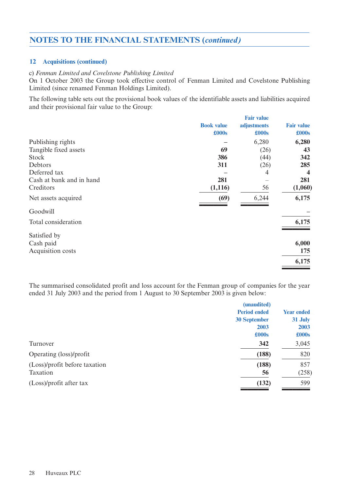#### **12 Acquisitions (continued)**

#### c) *Fenman Limited and Covelstone Publishing Limited*

On 1 October 2003 the Group took effective control of Fenman Limited and Covelstone Publishing Limited (since renamed Fenman Holdings Limited).

The following table sets out the provisional book values of the identifiable assets and liabilities acquired and their provisional fair value to the Group:

|                   | <b>Fair value</b> |                         |
|-------------------|-------------------|-------------------------|
| <b>Book value</b> | adjustments       | <b>Fair value</b>       |
| £000s             | £000s             | £000s                   |
|                   | 6,280             | 6,280                   |
| 69                | (26)              | 43                      |
| 386               | (44)              | 342                     |
| 311               | (26)              | 285                     |
|                   | 4                 | $\overline{\mathbf{4}}$ |
| 281               |                   | 281                     |
| (1, 116)          | 56                | (1,060)                 |
| (69)              | 6,244             | 6,175                   |
|                   |                   |                         |
|                   |                   | 6,175                   |
|                   |                   |                         |
|                   |                   | 6,000                   |
|                   |                   | 175                     |
|                   |                   | 6,175                   |
|                   |                   |                         |

The summarised consolidated profit and loss account for the Fenman group of companies for the year ended 31 July 2003 and the period from 1 August to 30 September 2003 is given below:

|                               | (unaudited)         |                   |
|-------------------------------|---------------------|-------------------|
|                               | <b>Period ended</b> | <b>Year ended</b> |
|                               | <b>30 September</b> | 31 July           |
|                               | 2003                | 2003              |
|                               | £000s               | $\pounds000s$     |
| Turnover                      | 342                 | 3,045             |
| Operating (loss)/profit       | (188)               | 820               |
| (Loss)/profit before taxation | (188)               | 857               |
| Taxation                      | 56                  | (258)             |
| (Loss)/profit after tax       | (132)               | 599               |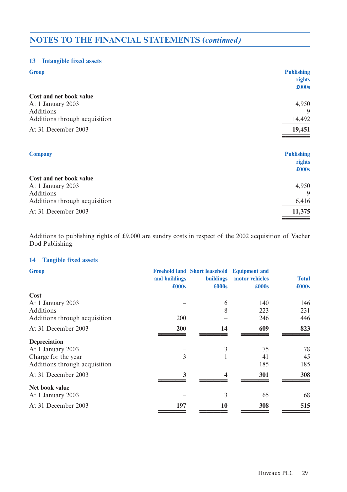#### **13 Intangible fixed assets**

| <b>Group</b>                  | <b>Publishing</b><br>rights |
|-------------------------------|-----------------------------|
|                               | £000s                       |
| Cost and net book value       |                             |
| At 1 January 2003             | 4,950                       |
| Additions                     | 9                           |
| Additions through acquisition | 14,492                      |
| At 31 December 2003           | 19,451                      |
|                               |                             |
| <b>Company</b>                | <b>Publishing</b>           |
|                               | rights<br>£000s             |
| Cost and net book value       |                             |
| At 1 January 2003             | 4,950                       |
| Additions                     | 9                           |
| Additions through acquisition | 6,416                       |
| At 31 December 2003           | 11,375                      |

Additions to publishing rights of £9,000 are sundry costs in respect of the 2002 acquisition of Vacher Dod Publishing.

### **14 Tangible fixed assets**

| <b>Group</b>                  | and buildings<br>$\pounds000s$ | <b>Freehold land Short leasehold</b><br><b>buildings</b><br>$\pounds000s$ | <b>Equipment and</b><br>motor vehicles<br>$\pounds000s$ | <b>Total</b><br>$\pounds000s$ |
|-------------------------------|--------------------------------|---------------------------------------------------------------------------|---------------------------------------------------------|-------------------------------|
| Cost                          |                                |                                                                           |                                                         |                               |
| At 1 January 2003             |                                | 6                                                                         | 140                                                     | 146                           |
| <b>Additions</b>              |                                | 8                                                                         | 223                                                     | 231                           |
| Additions through acquisition | 200                            |                                                                           | 246                                                     | 446                           |
| At 31 December 2003           | 200                            | 14                                                                        | 609                                                     | 823                           |
| Depreciation                  |                                |                                                                           |                                                         |                               |
| At 1 January 2003             |                                | 3                                                                         | 75                                                      | 78                            |
| Charge for the year           | 3                              |                                                                           | 41                                                      | 45                            |
| Additions through acquisition |                                |                                                                           | 185                                                     | 185                           |
| At 31 December 2003           | 3                              | 4                                                                         | 301                                                     | 308                           |
| Net book value                |                                |                                                                           |                                                         |                               |
| At 1 January 2003             |                                | 3                                                                         | 65                                                      | 68                            |
| At 31 December 2003           | 197                            | 10                                                                        | 308                                                     | 515                           |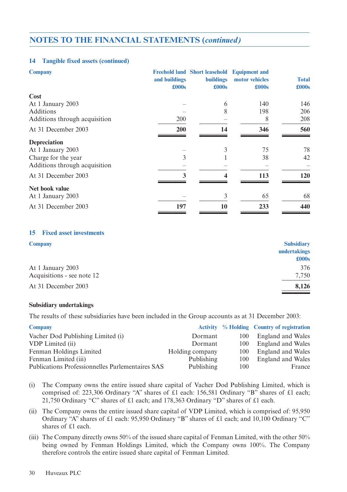#### **14 Tangible fixed assets (continued)**

| <b>Company</b>                | and buildings<br>£000s | <b>Freehold land Short leasehold</b><br><b>buildings</b><br>£000s | <b>Equipment and</b><br>motor vehicles<br>$\pounds000s$ | <b>Total</b><br>$\pounds000s$ |
|-------------------------------|------------------------|-------------------------------------------------------------------|---------------------------------------------------------|-------------------------------|
| Cost                          |                        |                                                                   |                                                         |                               |
| At 1 January 2003             |                        | 6                                                                 | 140                                                     | 146                           |
| <b>Additions</b>              |                        | 8                                                                 | 198                                                     | 206                           |
| Additions through acquisition | 200                    |                                                                   | 8                                                       | 208                           |
| At 31 December 2003           | 200                    | 14                                                                | 346                                                     | 560                           |
| Depreciation                  |                        |                                                                   |                                                         |                               |
| At 1 January 2003             |                        | 3                                                                 | 75                                                      | 78                            |
| Charge for the year           | 3                      |                                                                   | 38                                                      | 42                            |
| Additions through acquisition |                        |                                                                   |                                                         |                               |
| At 31 December 2003           | 3                      | 4                                                                 | 113                                                     | 120                           |
| Net book value                |                        |                                                                   |                                                         |                               |
| At 1 January 2003             |                        | 3                                                                 | 65                                                      | 68                            |
| At 31 December 2003           | 197                    | 10                                                                | 233                                                     | 440                           |

#### **15 Fixed asset investments**

| <b>Subsidiary</b> |
|-------------------|
| undertakings      |
| $\pounds000s$     |
| 376               |
| 7,750             |
| 8,126             |
|                   |

#### **Subsidiary undertakings**

The results of these subsidiaries have been included in the Group accounts as at 31 December 2003:

| <b>Company</b>                                          |                 |     | Activity % Holding Country of registration |
|---------------------------------------------------------|-----------------|-----|--------------------------------------------|
| Vacher Dod Publishing Limited (i)                       | Dormant         | 100 | England and Wales                          |
| VDP Limited (ii)                                        | Dormant         | 100 | <b>England and Wales</b>                   |
| Fenman Holdings Limited                                 | Holding company | 100 | England and Wales                          |
| Fenman Limited (iii)                                    | Publishing      | 100 | England and Wales                          |
| <b>Publications Professionnelles Parlementaires SAS</b> | Publishing      | 100 | France                                     |

- (i) The Company owns the entire issued share capital of Vacher Dod Publishing Limited, which is comprised of: 223,306 Ordinary "A" shares of £1 each: 156,581 Ordinary "B" shares of £1 each; 21,750 Ordinary "C" shares of £1 each; and 178,363 Ordinary "D" shares of £1 each.
- (ii) The Company owns the entire issued share capital of VDP Limited, which is comprised of: 95,950 Ordinary "A" shares of £1 each: 95,950 Ordinary "B" shares of £1 each; and 10,100 Ordinary "C" shares of £1 each.
- (iii) The Company directly owns 50% of the issued share capital of Fenman Limited, with the other 50% being owned by Fenman Holdings Limited, which the Company owns 100%. The Company therefore controls the entire issued share capital of Fenman Limited.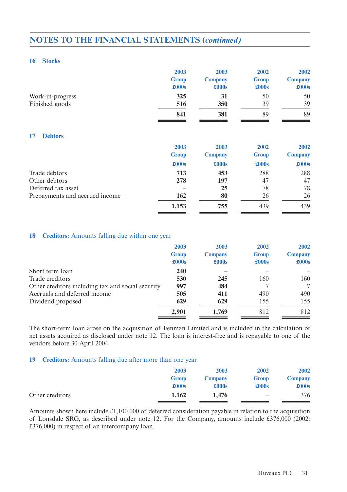#### **16 Stocks**

| 2003         | 2003           | 2002          | 2002           |
|--------------|----------------|---------------|----------------|
| <b>Group</b> | <b>Company</b> | <b>Group</b>  | <b>Company</b> |
| £000s        | £000s          | $\pounds000s$ | £000s          |
| 325          | 31             | 50            | 50             |
| 516          | 350            | 39            | 39             |
| 841          | 381            | 89            | 89             |
|              |                |               |                |
| 2003         | 2003           | 2002          | 2002           |
| <b>Group</b> | <b>Company</b> | <b>Group</b>  | <b>Company</b> |
| £000s        | £000s          | £000s         | £000s          |
| 713          | 453            | 288           | 288            |
| 278          | 197            | 47            | 47             |
|              | 25             | 78            | 78             |
| 162          | 80             | 26            | 26             |
| 1,153        | 755            | 439           | 439            |
|              |                |               |                |

#### **18 Creditors:** Amounts falling due within one year

|                                                   | 2003<br><b>Group</b><br>$\pounds000s$ | 2003<br><b>Company</b><br>£000s | 2002<br><b>Group</b><br>£000s | 2002<br><b>Company</b><br>£000s |
|---------------------------------------------------|---------------------------------------|---------------------------------|-------------------------------|---------------------------------|
| Short term loan                                   | 240                                   |                                 |                               |                                 |
| Trade creditors                                   | 530                                   | 245                             | 160                           | 160                             |
| Other creditors including tax and social security | 997                                   | 484                             |                               |                                 |
| Accruals and deferred income                      | 505                                   | 411                             | 490                           | 490                             |
| Dividend proposed                                 | 629                                   | 629                             | 155                           | 155                             |
|                                                   | 2,901                                 | 1,769                           | 812                           | 812                             |

The short-term loan arose on the acquisition of Fenman Limited and is included in the calculation of net assets acquired as disclosed under note 12. The loan is interest-free and is repayable to one of the vendors before 30 April 2004.

#### **19 Creditors:** Amounts falling due after more than one year

|                 | 2003         | 2003           | 2002                     | 2002           |
|-----------------|--------------|----------------|--------------------------|----------------|
|                 | <b>Group</b> | <b>Company</b> | <b>Group</b>             | <b>Company</b> |
|                 | £000s        | £000s          | £000s                    | $\pounds000s$  |
| Other creditors | 1,162        | 1,476          | $\overline{\phantom{a}}$ | 376            |

Amounts shown here include £1,100,000 of deferred consideration payable in relation to the acquisition of Lonsdale SRG, as described under note 12. For the Company, amounts include £376,000 (2002: £376,000) in respect of an intercompany loan.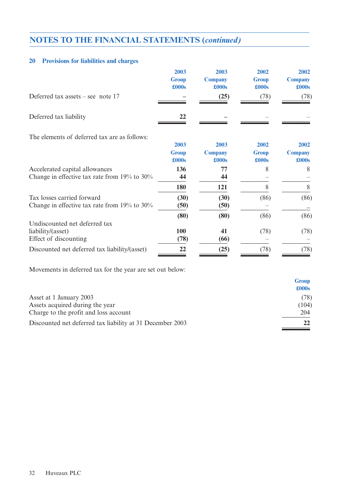#### **20 Provisions for liabilities and charges**

|                                                    | 2003<br><b>Group</b><br>£000s | 2003<br><b>Company</b><br>£000s | 2002<br><b>Group</b><br>£000s | 2002<br><b>Company</b><br>£000s |
|----------------------------------------------------|-------------------------------|---------------------------------|-------------------------------|---------------------------------|
| Deferred tax assets – see note $17$                |                               | (25)                            | (78)                          | (78)                            |
| Deferred tax liability                             | 22                            |                                 |                               |                                 |
| The elements of deferred tax are as follows:       |                               |                                 |                               |                                 |
|                                                    | 2003<br><b>Group</b><br>£000s | 2003<br><b>Company</b><br>£000s | 2002<br><b>Group</b><br>£000s | 2002<br><b>Company</b><br>£000s |
| Accelerated capital allowances                     | 136                           | 77                              | 8                             | 8                               |
| Change in effective tax rate from $19\%$ to $30\%$ | 44                            | 44                              |                               |                                 |
|                                                    | 180                           | 121                             | 8                             | 8                               |
| Tax losses carried forward                         | (30)                          | (30)                            | (86)                          | (86)                            |
| Change in effective tax rate from $19\%$ to $30\%$ | (50)                          | (50)                            |                               |                                 |
|                                                    | (80)                          | (80)                            | (86)                          | (86)                            |
| Undiscounted net deferred tax                      |                               |                                 |                               |                                 |
| liability/(asset)                                  | 100                           | 41                              | (78)                          | (78)                            |
| Effect of discounting                              | (78)                          | (66)                            |                               |                                 |
| Discounted net deferred tax liability/(asset)      | 22                            | (25)                            | (78)                          | (78)                            |

Movements in deferred tax for the year are set out below:

|                                                           | £000s |
|-----------------------------------------------------------|-------|
| Asset at 1 January 2003                                   | (78)  |
| Assets acquired during the year                           | (104) |
| Charge to the profit and loss account                     | 204   |
| Discounted net deferred tax liability at 31 December 2003 |       |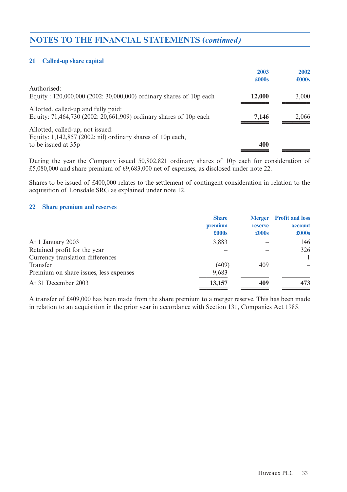#### **21 Called-up share capital**

|                                                                    | 2003   | 2002  |
|--------------------------------------------------------------------|--------|-------|
|                                                                    | £000s  | £000s |
| Authorised:                                                        |        |       |
| Equity: 120,000,000 (2002: 30,000,000) ordinary shares of 10p each | 12,000 | 3,000 |
| Allotted, called-up and fully paid:                                |        |       |
| Equity: 71,464,730 (2002: 20,661,909) ordinary shares of 10p each  | 7,146  | 2,066 |
| Allotted, called-up, not issued:                                   |        |       |
| Equity: $1,142,857$ (2002: nil) ordinary shares of 10p each,       |        |       |
| to be issued at 35p                                                | 400    |       |
|                                                                    |        |       |

During the year the Company issued 50,802,821 ordinary shares of 10p each for consideration of £5,080,000 and share premium of £9,683,000 net of expenses, as disclosed under note 22.

Shares to be issued of £400,000 relates to the settlement of contingent consideration in relation to the acquisition of Lonsdale SRG as explained under note 12.

#### **22 Share premium and reserves**

|                                        | <b>Share</b>     |                                 | <b>Merger</b> Profit and loss |
|----------------------------------------|------------------|---------------------------------|-------------------------------|
|                                        | premium<br>£000s | <b>reserve</b><br>$\pounds000s$ | account<br>£000s              |
|                                        |                  |                                 |                               |
| At 1 January 2003                      | 3,883            |                                 | 146                           |
| Retained profit for the year           |                  |                                 | 326                           |
| Currency translation differences       |                  |                                 |                               |
| Transfer                               | (409)            | 409                             |                               |
| Premium on share issues, less expenses | 9,683            |                                 |                               |
| At 31 December 2003                    | 13,157           | 409                             | 473                           |
|                                        |                  |                                 |                               |

A transfer of £409,000 has been made from the share premium to a merger reserve. This has been made in relation to an acquisition in the prior year in accordance with Section 131, Companies Act 1985.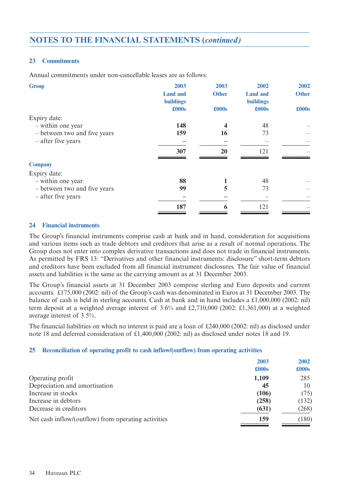#### **23 Commitments**

Annual commitments under non-cancellable leases are as follows:

| 2003             | 2003         | 2002             | 2002         |
|------------------|--------------|------------------|--------------|
| <b>Land and</b>  | <b>Other</b> | <b>Land and</b>  | <b>Other</b> |
| <b>buildings</b> |              | <b>buildings</b> |              |
| £000s            | £000s        | £000s            | £000s        |
|                  |              |                  |              |
| 148              |              | 48               |              |
| 159              | 16           | 73               |              |
|                  |              |                  |              |
| 307              | 20           | 121              |              |
|                  |              |                  |              |
|                  |              |                  |              |
| 88               |              | 48               |              |
| 99               | 5            | 73               |              |
|                  |              |                  |              |
| 187              | 6            | 121              |              |
|                  |              |                  |              |

#### **24 Financial instruments**

The Group's financial instruments comprise cash at bank and in hand, consideration for acquisitions and various items such as trade debtors and creditors that arise as a result of normal operations. The Group does not enter into complex derivative transactions and does not trade in financial instruments. As permitted by FRS 13: "Derivatives and other financial instruments: disclosure" short-term debtors and creditors have been excluded from all financial instrument disclosures. The fair value of financial assets and liabilities is the same as the carrying amount as at 31 December 2003.

The Group's financial assets at 31 December 2003 comprise sterling and Euro deposits and current accounts. £175,000 (2002: nil) of the Group's cash was denominated in Euros at 31 December 2003. The balance of cash is held in sterling accounts. Cash at bank and in hand includes a £1,000,000 (2002: nil) term deposit at a weighted average interest of 3.6% and £2,710,000 (2002: £1,361,000) at a weighted average interest of 3.5%.

The financial liabilities on which no interest is paid are a loan of £240,000 (2002: nil) as disclosed under note 18 and deferred consideration of £1,400,000 (2002: nil) as disclosed under notes 18 and 19.

#### **25 Reconciliation of operating profit to cash inflow/(outflow) from operating activities**

|                                                     | 2003  | 2002          |
|-----------------------------------------------------|-------|---------------|
|                                                     | £000s | $\pounds000s$ |
| Operating profit                                    | 1,109 | 285           |
| Depreciation and amortisation                       | 45    | 10            |
| Increase in stocks                                  | (106) | (75)          |
| Increase in debtors                                 | (258) | (132)         |
| Decrease in creditors                               | (631) | (268)         |
| Net cash inflow/(outflow) from operating activities | 159   | (180)         |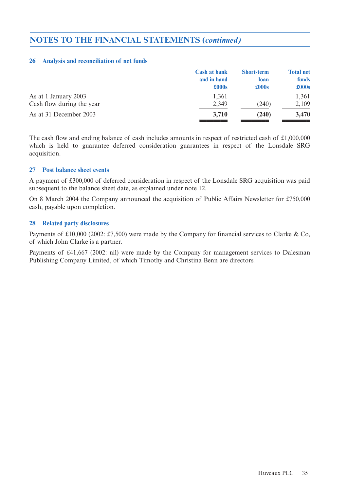#### **26 Analysis and reconciliation of net funds**

|                           | <b>Cash at bank</b> | <b>Short-term</b> | <b>Total net</b> |
|---------------------------|---------------------|-------------------|------------------|
|                           | and in hand         | loan              | <b>funds</b>     |
|                           | £000s               | $\pounds000s$     | $\pounds000s$    |
| As at 1 January 2003      | 1,361               |                   | 1,361            |
| Cash flow during the year | 2,349               | (240)             | 2,109            |
| As at 31 December 2003    | 3,710               | (240)             | 3,470            |

The cash flow and ending balance of cash includes amounts in respect of restricted cash of £1,000,000 which is held to guarantee deferred consideration guarantees in respect of the Lonsdale SRG acquisition.

#### **27 Post balance sheet events**

A payment of £300,000 of deferred consideration in respect of the Lonsdale SRG acquisition was paid subsequent to the balance sheet date, as explained under note 12.

On 8 March 2004 the Company announced the acquisition of Public Affairs Newsletter for £750,000 cash, payable upon completion.

#### **28 Related party disclosures**

Payments of £10,000 (2002: £7,500) were made by the Company for financial services to Clarke & Co, of which John Clarke is a partner.

Payments of £41,667 (2002: nil) were made by the Company for management services to Dalesman Publishing Company Limited, of which Timothy and Christina Benn are directors.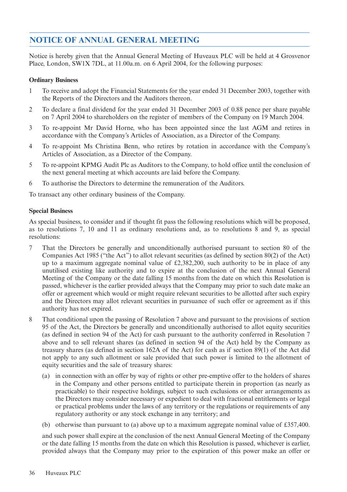### **NOTICE OF ANNUAL GENERAL MEETING**

Notice is hereby given that the Annual General Meeting of Huveaux PLC will be held at 4 Grosvenor Place, London, SW1X 7DL, at 11.00a.m. on 6 April 2004, for the following purposes:

#### **Ordinary Business**

- 1 To receive and adopt the Financial Statements for the year ended 31 December 2003, together with the Reports of the Directors and the Auditors thereon.
- 2 To declare a final dividend for the year ended 31 December 2003 of 0.88 pence per share payable on 7 April 2004 to shareholders on the register of members of the Company on 19 March 2004.
- 3 To re-appoint Mr David Horne, who has been appointed since the last AGM and retires in accordance with the Company's Articles of Association, as a Director of the Company.
- 4 To re-appoint Ms Christina Benn, who retires by rotation in accordance with the Company's Articles of Association, as a Director of the Company.
- 5 To re-appoint KPMG Audit Plc as Auditors to the Company, to hold office until the conclusion of the next general meeting at which accounts are laid before the Company.
- 6 To authorise the Directors to determine the remuneration of the Auditors.

To transact any other ordinary business of the Company.

#### **Special Business**

As special business, to consider and if thought fit pass the following resolutions which will be proposed, as to resolutions 7, 10 and 11 as ordinary resolutions and, as to resolutions 8 and 9, as special resolutions:

- 7 That the Directors be generally and unconditionally authorised pursuant to section 80 of the Companies Act 1985 ("the Act") to allot relevant securities (as defined by section 80(2) of the Act) up to a maximum aggregate nominal value of £2,382,200, such authority to be in place of any unutilised existing like authority and to expire at the conclusion of the next Annual General Meeting of the Company or the date falling 15 months from the date on which this Resolution is passed, whichever is the earlier provided always that the Company may prior to such date make an offer or agreement which would or might require relevant securities to be allotted after such expiry and the Directors may allot relevant securities in pursuance of such offer or agreement as if this authority has not expired.
- 8 That conditional upon the passing of Resolution 7 above and pursuant to the provisions of section 95 of the Act, the Directors be generally and unconditionally authorised to allot equity securities (as defined in section 94 of the Act) for cash pursuant to the authority conferred in Resolution 7 above and to sell relevant shares (as defined in section 94 of the Act) held by the Company as treasury shares (as defined in section 162A of the Act) for cash as if section 89(1) of the Act did not apply to any such allotment or sale provided that such power is limited to the allotment of equity securities and the sale of treasury shares:
	- (a) in connection with an offer by way of rights or other pre-emptive offer to the holders of shares in the Company and other persons entitled to participate therein in proportion (as nearly as practicable) to their respective holdings, subject to such exclusions or other arrangements as the Directors may consider necessary or expedient to deal with fractional entitlements or legal or practical problems under the laws of any territory or the regulations or requirements of any regulatory authority or any stock exchange in any territory; and
	- (b) otherwise than pursuant to (a) above up to a maximum aggregate nominal value of £357,400.

and such power shall expire at the conclusion of the next Annual General Meeting of the Company or the date falling 15 months from the date on which this Resolution is passed, whichever is earlier, provided always that the Company may prior to the expiration of this power make an offer or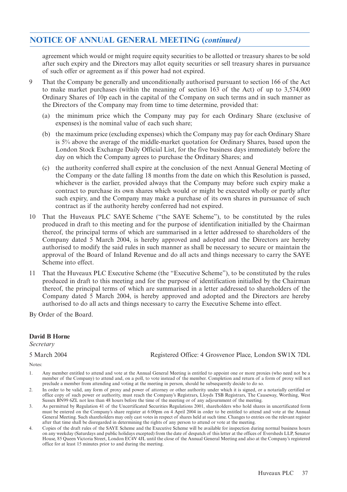### **NOTICE OF ANNUAL GENERAL MEETING (***continued)*

agreement which would or might require equity securities to be allotted or treasury shares to be sold after such expiry and the Directors may allot equity securities or sell treasury shares in pursuance of such offer or agreement as if this power had not expired.

- 9 That the Company be generally and unconditionally authorised pursuant to section 166 of the Act to make market purchases (within the meaning of section 163 of the Act) of up to 3,574,000 Ordinary Shares of 10p each in the capital of the Company on such terms and in such manner as the Directors of the Company may from time to time determine, provided that:
	- (a) the minimum price which the Company may pay for each Ordinary Share (exclusive of expenses) is the nominal value of each such share;
	- (b) the maximum price (excluding expenses) which the Company may pay for each Ordinary Share is 5% above the average of the middle-market quotation for Ordinary Shares, based upon the London Stock Exchange Daily Official List, for the five business days immediately before the day on which the Company agrees to purchase the Ordinary Shares; and
	- (c) the authority conferred shall expire at the conclusion of the next Annual General Meeting of the Company or the date falling 18 months from the date on which this Resolution is passed, whichever is the earlier, provided always that the Company may before such expiry make a contract to purchase its own shares which would or might be executed wholly or partly after such expiry, and the Company may make a purchase of its own shares in pursuance of such contract as if the authority hereby conferred had not expired.
- 10 That the Huveaux PLC SAYE Scheme ("the SAYE Scheme"), to be constituted by the rules produced in draft to this meeting and for the purpose of identification initialled by the Chairman thereof, the principal terms of which are summarised in a letter addressed to shareholders of the Company dated 5 March 2004, is hereby approved and adopted and the Directors are hereby authorised to modify the said rules in such manner as shall be necessary to secure or maintain the approval of the Board of Inland Revenue and do all acts and things necessary to carry the SAYE Scheme into effect.
- 11 That the Huveaux PLC Executive Scheme (the "Executive Scheme"), to be constituted by the rules produced in draft to this meeting and for the purpose of identification initialled by the Chairman thereof, the principal terms of which are summarised in a letter addressed to shareholders of the Company dated 5 March 2004, is hereby approved and adopted and the Directors are hereby authorised to do all acts and things necessary to carry the Executive Scheme into effect.

By Order of the Board.

#### **David B Horne**

*Secretary*

5 March 2004 Registered Office: 4 Grosvenor Place, London SW1X 7DL

Notes:

- 1. Any member entitled to attend and vote at the Annual General Meeting is entitled to appoint one or more proxies (who need not be a member of the Company) to attend and, on a poll, to vote instead of the member. Completion and return of a form of proxy will not preclude a member from attending and voting at the meeting in person, should he subsequently decide to do so.
- 2. In order to be valid, any form of proxy and power of attorney or other authority under which it is signed, or a notarially certified or office copy of such power or authority, must reach the Company's Registrars, Lloyds TSB Registrars, The Causeway, Worthing, West Sussex BN99 6ZL not less than 48 hours before the time of the meeting or of any adjournment of the meeting.
- 3. As permitted by Regulation 41 of the Uncertificated Securities Regulations 2001, shareholders who hold shares in uncertificated form must be entered on the Company's share register at 6:00pm on 4 April 2004 in order to be entitled to attend and vote at the Annual General Meeting. Such shareholders may only cast votes in respect of shares held at such time. Changes to entries on the relevant register after that time shall be disregarded in determining the rights of any person to attend or vote at the meeting.
- 4. Copies of the draft rules of the SAYE Scheme and the Executive Scheme will be available for inspection during normal business hours on any weekday (Saturdays and public holidays excepted) from the date of despatch of this letter at the offices of Eversheds LLP, Senator House, 85 Queen Victoria Street, London EC4V 4JL until the close of the Annual General Meeting and also at the Company's registered office for at least 15 minutes prior to and during the meeting.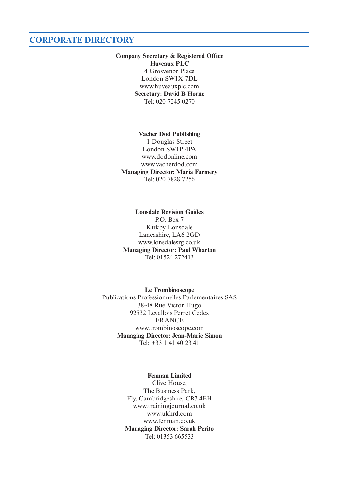### **CORPORATE DIRECTORY**

#### **Company Secretary & Registered Office Huveaux PLC** 4 Grosvenor Place London SW1X 7DL www.huveauxplc.com **Secretary: David B Horne** Tel: 020 7245 0270

#### **Vacher Dod Publishing**  1 Douglas Street London SW1P 4PA www.dodonline.com www.vacherdod.com **Managing Director: Maria Farmery** Tel: 020 7828 7256

**Lonsdale Revision Guides** P.O. Box 7 Kirkby Lonsdale Lancashire, LA6 2GD www.lonsdalesrg.co.uk **Managing Director: Paul Wharton** Tel: 01524 272413

**Le Trombinoscope** Publications Professionnelles Parlementaires SAS 38-48 Rue Victor Hugo 92532 Levallois Perret Cedex FRANCE www.trombinoscope.com **Managing Director: Jean-Marie Simon** Tel:  $+33$  1 41 40 23 41

> **Fenman Limited** Clive House, The Business Park, Ely, Cambridgeshire, CB7 4EH www.trainingjournal.co.uk www.ukhrd.com www.fenman.co.uk **Managing Director: Sarah Perito** Tel: 01353 665533